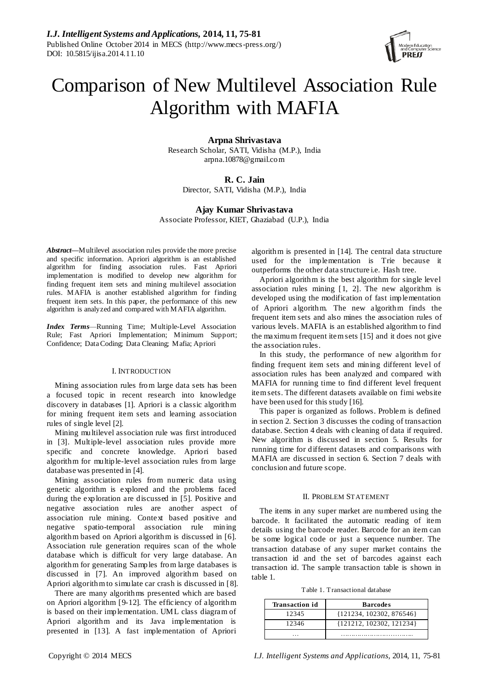

# Comparison of New Multilevel Association Rule Algorithm with MAFIA

**Arpna Shrivastava**

Research Scholar, SATI, Vidisha (M.P.), India arpna.10878@gmail.com

# **R. C. Jain**

Director, SATI, Vidisha (M.P.), India

**Ajay Kumar Shrivastava** Associate Professor, KIET, Ghaziabad (U.P.), India

*Abstract***—**Multilevel association rules provide the more precise and specific information. Apriori algorithm is an established algorithm for finding association rules. Fast Apriori implementation is modified to develop new algorithm for finding frequent item sets and mining multilevel association rules. MAFIA is another established algorithm for finding frequent item sets. In this paper, the performance of this new algorithm is analyzed and compared with MAFIA algorithm.

*Index Terms*—Running Time; Multiple-Level Association Rule; Fast Apriori Implementation; Minimum Support; Confidence; Data Coding; Data Cleaning; Mafia; Apriori

# I. INTRODUCTION

Mining association rules from large data sets has been a focused topic in recent research into knowledge discovery in databases [1]. Apriori is a classic algorithm for mining frequent item sets and learning association rules of single level [2].

Mining multilevel association rule was first introduced in [3]. Multiple-level association rules provide more specific and concrete knowledge. Apriori based algorithm for multiple-level association rules from large database was presented in [4].

Mining association rules from numeric data using genetic algorithm is explored and the problems faced during the exploration are discussed in [5]. Positive and negative association rules are another aspect of association rule mining. Context based positive and negative spatio-temporal association rule mining algorithm based on Apriori algorithm is discussed in [6]. Association rule generation requires scan of the whole database which is difficult for very large database. An algorithm for generating Samples from large databases is discussed in [7]. An improved algorithm based on Apriori algorithm to simulate car crash is discussed in [8].

There are many algorithms presented which are based on Apriori algorithm [9-12]. The efficiency of algorithm is based on their implementation. UML class diagram of Apriori algorithm and its Java implementation is presented in [13]. A fast implementation of Apriori

algorithm is presented in [14]. The central data structure used for the implementation is Trie because it outperforms the other data structure i.e. Hash tree.

Apriori algorithm is the best algorithm for single level association rules mining [1, 2]. The new algorithm is developed using the modification of fast implementation of Apriori algorithm. The new algorithm finds the frequent item sets and also mines the association rules of various levels. MAFIA is an established algorithm to find the maximum frequent item sets [15] and it does not give the association rules.

In this study, the performance of new algorithm for finding frequent item sets and mining different level of association rules has been analyzed and compared with MAFIA for running time to find different level frequent item sets. The different datasets available on fimi website have been used for this study [16].

This paper is organized as follows. Problem is defined in section 2. Section 3 discusses the coding of transaction database. Section 4 deals with cleaning of data if required. New algorithm is discussed in section 5. Results for running time for different datasets and comparisons with MAFIA are discussed in section 6. Section 7 deals with conclusion and future scope.

# II. PROBLEM STATEMENT

The items in any super market are numbered using the barcode. It facilitated the automatic reading of item details using the barcode reader. Barcode for an item can be some logical code or just a sequence number. The transaction database of any super market contains the transaction id and the set of barcodes against each transaction id. The sample transaction table is shown in table 1.

Table 1. Transactional database

| <b>Transaction id</b> | <b>Barcodes</b>            |
|-----------------------|----------------------------|
| 12345                 | ${121234, 102302, 876546}$ |
| 12346                 | ${121212, 102302, 121234}$ |
|                       |                            |

Copyright © 2014 MECS *I.J. Intelligent Systems and Applications,* 2014, 11, 75-81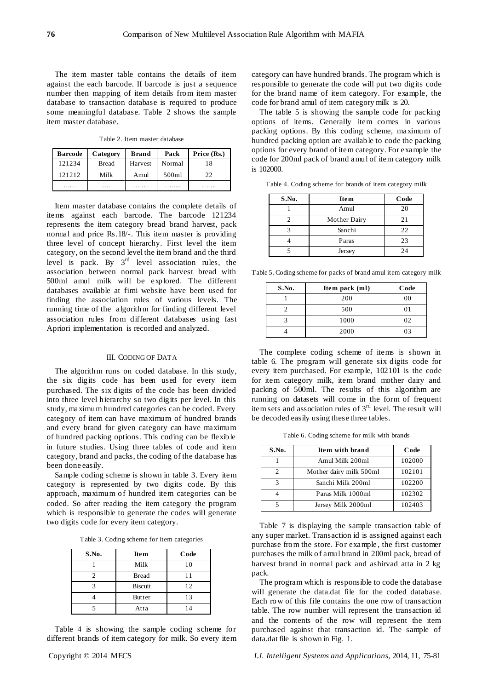The item master table contains the details of item against the each barcode. If barcode is just a sequence number then mapping of item details from item master database to transaction database is required to produce some meaningful database. Table 2 shows the sample item master database.

Table 2. Item master database

| <b>Barcode</b> | Category  | <b>Brand</b>   | Pack   | Price (Rs.) |
|----------------|-----------|----------------|--------|-------------|
| 121234         | Bread     | <b>Harvest</b> | Normal | 18          |
| 121212         | Milk      | Amul           | 500ml  | 22          |
|                | $\ddotsc$ |                |        |             |

Item master database contains the complete details of items against each barcode. The barcode 121234 represents the item category bread brand harvest, pack normal and price Rs.18/-. This item master is providing three level of concept hierarchy. First level the item category, on the second level the item brand and the third level is pack. By  $3<sup>rd</sup>$  level association rules, the association between normal pack harvest bread with 500ml amul milk will be explored. The different databases available at fimi website have been used for finding the association rules of various levels. The running time of the algorithm for finding different level association rules from different databases using fast Apriori implementation is recorded and analyzed.

# III. CODING OF DATA

The algorithm runs on coded database. In this study, the six digits code has been used for every item purchased. The six digits of the code has been divided into three level hierarchy so two digits per level. In this study, maximum hundred categories can be coded. Every category of item can have maximum of hundred brands and every brand for given category can have maximum of hundred packing options. This coding can be flexible in future studies. Using three tables of code and item category, brand and packs, the coding of the database has been done easily.

Sample coding scheme is shown in table 3. Every item category is represented by two digits code. By this approach, maximum of hundred item categories can be coded. So after reading the item category the program which is responsible to generate the codes will generate two digits code for every item category.

Table 3. Coding scheme for item categories

| S.No. | <b>Item</b>    | Code |
|-------|----------------|------|
|       | Milk           | 10   |
|       | <b>Bread</b>   | 11   |
|       | <b>Biscuit</b> | 12   |
|       | Butter         | 13   |
|       | Atta           | 14   |

Table 4 is showing the sample coding scheme for different brands of item category for milk. So every item

category can have hundred brands. The program which is responsible to generate the code will put two digits code for the brand name of item category. For example, the code for brand amul of item category milk is 20.

The table 5 is showing the sample code for packing options of items. Generally item comes in various packing options. By this coding scheme, maximum of hundred packing option are available to code the packing options for every brand of item category. For example the code for 200ml pack of brand amul of item category milk is 102000.

Table 4. Coding scheme for brands of item category milk

| S.No. | <b>Item</b>  | Code |
|-------|--------------|------|
|       | Amul         | 20   |
|       | Mother Dairy | 21   |
|       | Sanchi       | 22   |
|       | Paras        | 23   |
|       | Jersey       | 24   |

Table 5. Coding scheme for packs of brand amul item category milk

| S.No. | Item pack (ml) | Code |
|-------|----------------|------|
|       | 200            | 00   |
|       | 500            | 01   |
|       | 1000           | 02   |
|       | 2000           | 03   |

The complete coding scheme of items is shown in table 6. The program will generate six digits code for every item purchased. For example, 102101 is the code for item category milk, item brand mother dairy and packing of 500ml. The results of this algorithm are running on datasets will come in the form of frequent item sets and association rules of 3rd level. The result will be decoded easily using these three tables.

Table 6. Coding scheme for milk with brands

| S.No. | Item with brand         | Code   |
|-------|-------------------------|--------|
|       | Amul Milk 200ml         | 102000 |
| 2.    | Mother dairy milk 500ml | 102101 |
|       | Sanchi Milk 200ml       | 102200 |
|       | Paras Milk 1000ml       | 102302 |
|       | Jersey Milk 2000ml      | 102403 |

Table 7 is displaying the sample transaction table of any super market. Transaction id is assigned against each purchase from the store. For example , the first customer purchases the milk of amul brand in 200ml pack, bread of harvest brand in normal pack and ashirvad atta in 2 kg pack.

The program which is responsible to code the database will generate the data.dat file for the coded database. Each row of this file contains the one row of transaction table. The row number will represent the transaction id and the contents of the row will represent the item purchased against that transaction id. The sample of data.dat file is shown in Fig. 1.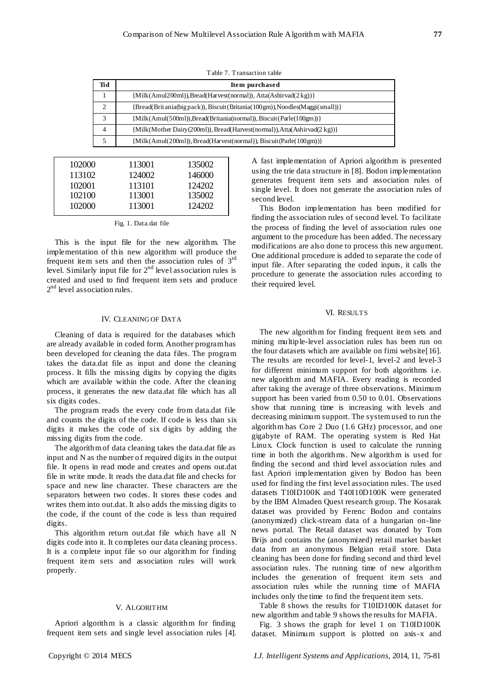| Tid | Item purchased                                                               |
|-----|------------------------------------------------------------------------------|
|     | ${Milk(Amul200ml)}$ , Bread(Harvest(normal)), Atta(Ashirvad(2kg)) }          |
|     | {Bread(Britania(big pack)), Biscuit(Britania(100gm)), Noodles(Maggi(small))} |
|     | {Milk(Amul(500ml)),Bread(Britania(normal)), Biscuit(Parle(100gm))}           |
| 4   | {Milk(Mother Dairy(200ml)), Bread(Harvest(normal)), Atta(Ashirvad(2 kg))}    |
|     | {Milk(Amul(200ml)), Bread(Harvest(normal)), Biscuit(Parle(100gm))}           |

Table 7. Transaction table

| 102000 | 113001 | 135002 |
|--------|--------|--------|
| 113102 | 124002 | 146000 |
| 102001 | 113101 | 124202 |
| 102100 | 113001 | 135002 |
| 102000 | 113001 | 124202 |

Fig. 1. Data.dat file

This is the input file for the new algorithm. The implementation of this new algorithm will produce the frequent item sets and then the association rules of  $3<sup>rd</sup>$ level. Similarly input file for  $2<sup>nd</sup>$  level association rules is created and used to find frequent item sets and produce 2<sup>nd</sup> level association rules.

### IV. CLEANING OF DATA

Cleaning of data is required for the databases which are already available in coded form. Another program has been developed for cleaning the data files. The program takes the data.dat file as input and done the cleaning process. It fills the missing digits by copying the digits which are available within the code. After the cleaning process, it generates the new data.dat file which has all six digits codes.

The program reads the every code from data.dat file and counts the digits of the code. If code is less than six digits it makes the code of six digits by adding the missing digits from the code.

The algorithm of data cleaning takes the data.dat file as input and N as the number of required digits in the output file. It opens in read mode and creates and opens out.dat file in write mode. It reads the data.dat file and checks for space and new line character. These characters are the separators between two codes. It stores these codes and writes them into out.dat. It also adds the missing digits to the code, if the count of the code is less than required digits.

This algorithm return out.dat file which have all N digits code into it. It completes our data cleaning process. It is a complete input file so our algorithm for finding frequent item sets and association rules will work properly.

# V. ALGORITHM

Apriori algorithm is a classic algorithm for finding frequent item sets and single level association rules [4]. A fast implementation of Apriori algorithm is presented using the trie data structure in [8]. Bodon implementation generates frequent item sets and association rules of single level. It does not generate the association rules of second level.

This Bodon implementation has been modified for finding the association rules of second level. To facilitate the process of finding the level of association rules one argument to the procedure has been added. The necessary modifications are also done to process this new argument. One additional procedure is added to separate the code of input file. After separating the coded inputs, it calls the procedure to generate the association rules according to their required level.

#### VI. RESULTS

The new algorithm for finding frequent item sets and mining multiple-level association rules has been run on the four datasets which are available on fimi website [16]. The results are recorded for level-1, level-2 and level-3 for different minimum support for both algorithms i.e. new algorithm and MAFIA. Every reading is recorded after taking the average of three observations. Minimum support has been varied from 0.50 to 0.01. Observations show that running time is increasing with levels and decreasing minimum support. The system used to run the algorithm has Core 2 Duo (1.6 GHz) processor, and one gigabyte of RAM. The operating system is Red Hat Linux. Clock function is used to calculate the running time in both the algorithms. New algorithm is used for finding the second and third level association rules and fast Apriori implementation given by Bodon has been used for finding the first level association rules. The used datasets T10ID100K and T40I10D100K were generated by the IBM Almaden Quest research group. The Kosarak dataset was provided by Ferenc Bodon and contains (anonymized) click-stream data of a hungarian on-line news portal. The Retail dataset was donated by Tom Brijs and contains the (anonymized) retail market basket data from an anonymous Belgian retail store. Data cleaning has been done for finding second and third level association rules. The running time of new algorithm includes the generation of frequent item sets and association rules while the running time of MAFIA includes only the time to find the frequent item sets.

Table 8 shows the results for T10ID100K dataset for new algorithm and table 9 shows the results for MAFIA.

Fig. 3 shows the graph for level 1 on T10ID100K dataset. Minimum support is plotted on axis-x and

Copyright © 2014 MECS *I.J. Intelligent Systems and Applications,* 2014, 11, 75-81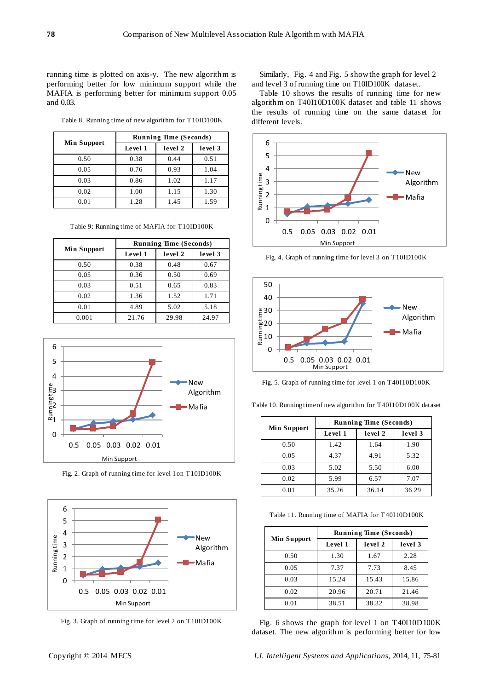running time is plotted on axis-y. The new algorithm is performing better for low minimum support while the MAFIA is performing better for minimum support 0.05 and 0.03.

Table 8. Running time of new algorithm for T10ID100K

|                    | <b>Running Time (Seconds)</b> |         |         |
|--------------------|-------------------------------|---------|---------|
| <b>Min Support</b> | Level 1                       | level 2 | level 3 |
| 0.50               | 0.38                          | 0.44    | 0.51    |
| 0.05               | 0.76                          | 0.93    | 1.04    |
| 0.03               | 0.86                          | 1.02    | 1.17    |
| 0.02               | 1.00                          | 1.15    | 1.30    |
| 0.01               | 1.28                          | 1.45    | 1.59    |

Table 9: Running time of MAFIA for T10ID100K

|                    | <b>Running Time (Seconds)</b> |         |         |
|--------------------|-------------------------------|---------|---------|
| <b>Min Support</b> | Level 1                       | level 2 | level 3 |
| 0.50               | 0.38                          | 0.48    | 0.67    |
| 0.05               | 0.36                          | 0.50    | 0.69    |
| 0.03               | 0.51                          | 0.65    | 0.83    |
| 0.02               | 1.36                          | 1.52    | 1.71    |
| 0.01               | 4.89                          | 5.02    | 5.18    |
| 0.001              | 21.76                         | 29.98   | 24.97   |



Fig. 2. Graph of running time for level 1on T10ID100K



Fig. 3. Graph of running time for level 2 on T10ID100K

Similarly, Fig. 4 and Fig. 5 show the graph for level 2 and level 3 of running time on T10ID100K dataset.

Table 10 shows the results of running time for new algorithm on T40I10D100K dataset and table 11 shows the results of running time on the same dataset for different levels.



Fig. 4. Graph of running time for level 3 on T10ID100K



Fig. 5. Graph of running time for level 1 on T40I10D100K

|                    | <b>Running Time (Seconds)</b> |         |         |
|--------------------|-------------------------------|---------|---------|
| <b>Min Support</b> | Level 1                       | level 2 | level 3 |
| 0.50               | 1.42                          | 1.64    | 1.90    |
| 0.05               | 4.37                          | 4.91    | 5.32    |
| 0.03               | 5.02                          | 5.50    | 6.00    |
| 0.02               | 5.99                          | 6.57    | 7.07    |
| 0.01               | 35.26                         | 36.14   | 36.29   |

Table 10. Running time of new algorithm for T40I10D100K dataset

Table 11. Running time of MAFIA for T40I10D100K

|                    | <b>Running Time (Seconds)</b> |         |         |
|--------------------|-------------------------------|---------|---------|
| <b>Min Support</b> | Level 1                       | level 2 | level 3 |
| 0.50               | 1.30                          | 1.67    | 2.28    |
| 0.05               | 7.37                          | 7.73    | 8.45    |
| 0.03               | 15.24                         | 15.43   | 15.86   |
| 0.02               | 20.96                         | 20.71   | 21.46   |
| 0.01               | 38.51                         | 38.32   | 38.98   |

Fig. 6 shows the graph for level 1 on T40I10D100K dataset. The new algorithm is performing better for low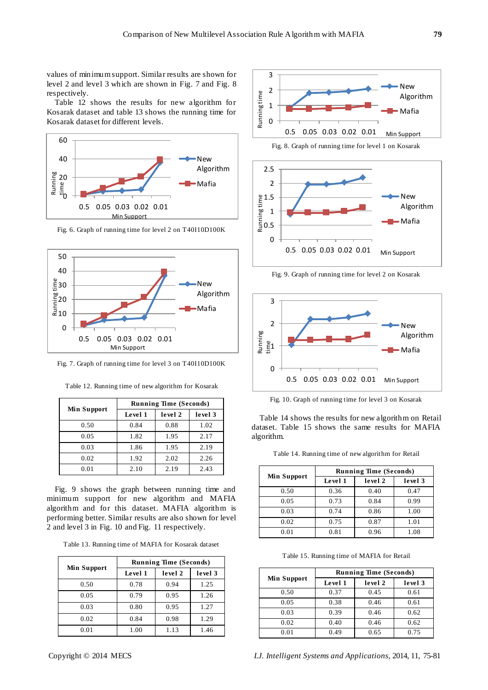values of minimum support. Similar results are shown for level 2 and level 3 which are shown in Fig. 7 and Fig. 8 respectively.

Table 12 shows the results for new algorithm for Kosarak dataset and table 13 shows the running time for Kosarak dataset for different levels.



Fig. 6. Graph of running time for level 2 on T40I10D100K



Fig. 7. Graph of running time for level 3 on T40I10D100K

| <b>Min Support</b> | <b>Running Time (Seconds)</b> |         |         |  |
|--------------------|-------------------------------|---------|---------|--|
|                    | Level 1                       | level 2 | level 3 |  |
| 0.50               | 0.84                          | 0.88    | 1.02    |  |
| 0.05               | 1.82                          | 1.95    | 2.17    |  |
| 0.03               | 1.86                          | 1.95    | 2.19    |  |
| 0.02               | 1.92                          | 2.02    | 2.26    |  |
| 0.01               | 2.10                          | 2.19    | 2.43    |  |

Table 12. Running time of new algorithm for Kosarak

Fig. 9 shows the graph between running time and minimum support for new algorithm and MAFIA algorithm and for this dataset. MAFIA algorithm is performing better. Similar results are also shown for level 2 and level 3 in Fig. 10 and Fig. 11 respectively.

|  | Table 13. Running time of MAFIA for Kosarak dataset |  |  |  |  |  |
|--|-----------------------------------------------------|--|--|--|--|--|
|--|-----------------------------------------------------|--|--|--|--|--|

|                    | <b>Running Time (Seconds)</b> |         |         |  |
|--------------------|-------------------------------|---------|---------|--|
| <b>Min Support</b> | Level 1                       | level 2 | level 3 |  |
| 0.50               | 0.78                          | 0.94    | 1.25    |  |
| 0.05               | 0.79                          | 0.95    | 1.26    |  |
| 0.03               | 0.80                          | 0.95    | 1.27    |  |
| 0.02               | 0.84                          | 0.98    | 1.29    |  |
| 0.01               | 1.00                          | 1.13    | 1.46    |  |







Fig. 9. Graph of running time for level 2 on Kosarak



Fig. 10. Graph of running time for level 3 on Kosarak

Table 14 shows the results for new algorithm on Retail dataset. Table 15 shows the same results for MAFIA algorithm.

| Table 14. Running time of new algorithm for Retail |  |  |  |
|----------------------------------------------------|--|--|--|
|----------------------------------------------------|--|--|--|

| <b>Min Support</b> | <b>Running Time (Seconds)</b> |         |         |  |
|--------------------|-------------------------------|---------|---------|--|
|                    | Level 1                       | level 2 | level 3 |  |
| 0.50               | 0.36                          | 0.40    | 0.47    |  |
| 0.05               | 0.73                          | 0.84    | 0.99    |  |
| 0.03               | 0.74                          | 0.86    | 1.00    |  |
| 0.02               | 0.75                          | 0.87    | 1.01    |  |
| 0.01               | 0.81                          | 0.96    | 1.08    |  |

Table 15. Running time of MAFIA for Retail

| <b>Min Support</b> | <b>Running Time (Seconds)</b> |         |         |  |
|--------------------|-------------------------------|---------|---------|--|
|                    | Level 1                       | level 2 | level 3 |  |
| 0.50               | 0.37                          | 0.45    | 0.61    |  |
| 0.05               | 0.38                          | 0.46    | 0.61    |  |
| 0.03               | 0.39                          | 0.46    | 0.62    |  |
| 0.02               | 0.40                          | 0.46    | 0.62    |  |
| 0.01               | 1.49                          | 0.65    | 0.75    |  |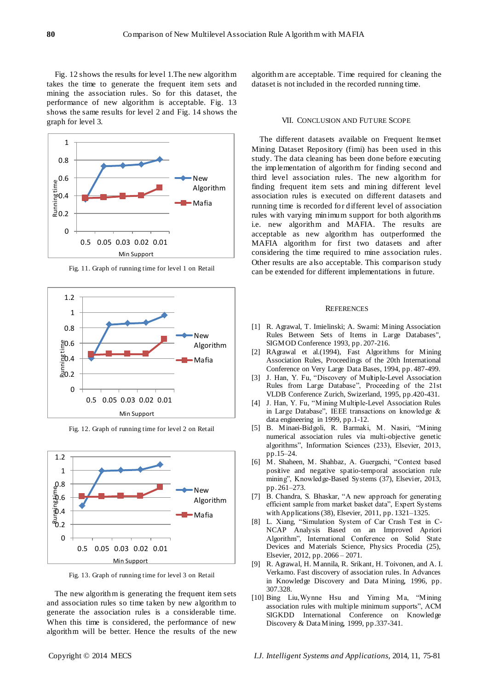Fig. 12 shows the results for level 1.The new algorithm takes the time to generate the frequent item sets and mining the association rules. So for this dataset, the performance of new algorithm is acceptable. Fig. 13 shows the same results for level 2 and Fig. 14 shows the graph for level 3.



Fig. 11. Graph of running time for level 1 on Retail



Fig. 12. Graph of running time for level 2 on Retail



Fig. 13. Graph of running time for level 3 on Retail

The new algorithm is generating the frequent item sets and association rules so time taken by new algorithm to generate the association rules is a considerable time. When this time is considered, the performance of new algorithm will be better. Hence the results of the new algorithm are acceptable. Time required for cleaning the dataset is not included in the recorded running time.

# VII. CONCLUSION AND FUTURE SCOPE

The different datasets available on Frequent Itemset Mining Dataset Repository (fimi) has been used in this study. The data cleaning has been done before executing the implementation of algorithm for finding second and third level association rules. The new algorithm for finding frequent item sets and mining different level association rules is executed on different datasets and running time is recorded for different level of association rules with varying minimum support for both algorithms i.e. new algorithm and MAFIA. The results are acceptable as new algorithm has outperformed the MAFIA algorithm for first two datasets and after considering the time required to mine association rules. Other results are also acceptable. This comparison study can be extended for different implementations in future.

#### **REFERENCES**

- [1] R. Agrawal, T. Imielinski; A. Swami: Mining Association Rules Between Sets of Items in Large Databases", SIGMOD Conference 1993, pp. 207-216.
- [2] RAgrawal et al.(1994), Fast Algorithms for Mining Association Rules, Proceedings of the 20th International Conference on Very Large Data Bases, 1994, pp. 487-499.
- [3] J. Han, Y. Fu, "Discovery of Multiple-Level Association Rules from Large Database", Proceeding of the 21st VLDB Conference Zurich, Swizerland, 1995, pp.420-431.
- [4] J. Han, Y. Fu, "Mining Multiple-Level Association Rules in Large Database", IEEE transactions on knowledge  $\&$ data engineering in 1999, pp.1-12.
- [5] B. Minaei-Bidgoli, R. Barmaki, M. Nasiri, "Mining numerical association rules via multi-objective genetic algorithms", Information Sciences (233), Elsevier, 2013, pp.15–24.
- [6] M. Shaheen, M. Shahbaz, A. Guergachi, "Context based positive and negative spatio-temporal association rule mining", Knowledge-Based Systems (37), Elsevier, 2013, pp. 261–273.
- [7] B. Chandra, S. Bhaskar, "A new approach for generating efficient sample from market basket data", Expert Systems with Applications (38), Elsevier, 2011, pp. 1321–1325.
- [8] L. Xiang, "Simulation System of Car Crash Test in C-NCAP Analysis Based on an Improved Apriori Algorithm", International Conference on Solid State Devices and Materials Science, Physics Procedia (25), Elsevier, 2012, pp. 2066 – 2071.
- [9] R. Agrawal, H. Mannila, R. Srikant, H. Toivonen, and A. I. Verkamo. Fast discovery of association rules. In Advances in Knowledge Discovery and Data Mining, 1996, pp. 307.328.
- [10] Bing Liu, Wynne Hsu and Yiming Ma, "Mining" association rules with multiple minimum supports", ACM SIGKDD International Conference on Knowledge Discovery & Data Mining, 1999, pp.337-341.